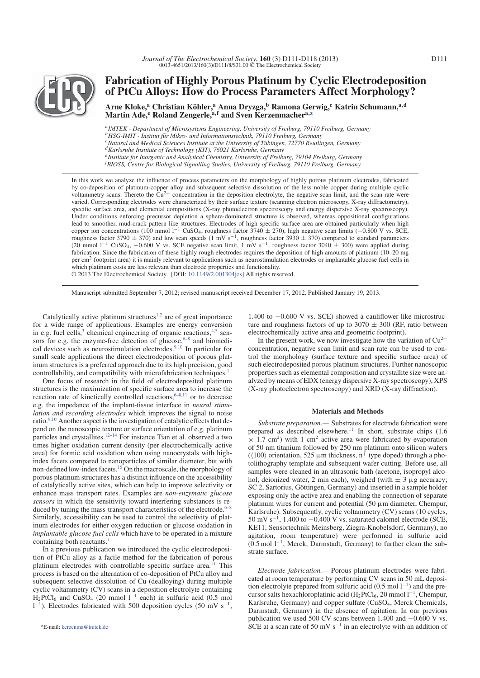

# **Fabrication of Highly Porous Platinum by Cyclic Electrodeposition of PtCu Alloys: How do Process Parameters Affect Morphology?**

**Arne Kloke,<sup>a</sup> Christian Kohler, ¨ <sup>a</sup> Anna Dryzga,<sup>b</sup> Ramona Gerwig,<sup>c</sup> Katrin Schumann,a,d Martin Ade,<sup>e</sup> Roland Zengerle,a,f and Sven Kerzenmachera,z**

*aIMTEK - Department of Microsystems Engineering, University of Freiburg, 79110 Freiburg, Germany* <sup>c</sup>Natural and Medical Sciences Institute at the University of Tübingen, 72770 Reutlingen, Germany<br><sup>d</sup>Karlsruhe Institute of Technology (KIT), 76021 Karlsruhe, Germany *eInstitute for Inorganic and Analytical Chemistry, University of Freiburg, 79104 Freiburg, Germany f BIOSS, Centre for Biological Signalling Studies, University of Freiburg, 79110 Freiburg, Germany*

In this work we analyze the influence of process parameters on the morphology of highly porous platinum electrodes, fabricated by co-deposition of platinum-copper alloy and subsequent selective dissolution of the less noble copper during multiple cyclic voltammetry scans. Thereto the  $\tilde{C}u^{2+}$  concentration in the deposition electrolyte, the negative scan limit, and the scan rate were varied. Corresponding electrodes were characterized by their surface texture (scanning electron microscopy, X-ray diffractometry), specific surface area, and elemental compositions (X-ray photoelectron spectroscopy and energy dispersive X-ray spectroscopy). Under conditions enforcing precursor depletion a sphere-dominated structure is observed, whereas oppositional configurations lead to smoother, mud-crack pattern like structures. Electrodes of high specific surface area are obtained particularly when high copper ion concentrations (100 mmol 1<sup>-1</sup> CuSO<sub>4</sub>, roughness factor  $3740 \pm 270$ ), high negative scan limits (−0.800 V vs. SCE, roughness factor 3790 ± 370) and low scan speeds (1 mV s<sup>-1</sup>, roughness factor 3930 ± 370) compared to standard parameters (20 mmol l<sup>−1</sup> CuSO<sub>4</sub>, −0.600 V vs. SCE negative scan limit, 1 mV s<sup>−1</sup>, roughness factor 3040 ± 300) were applied during fabrication. Since the fabrication of these highly rough electrodes requires the deposition of high amounts of platinum (10–20 mg per cm2 footprint area) it is mainly relevant to applications such as neurostimulation electrodes or implantable glucose fuel cells in which platinum costs are less relevant than electrode properties and functionality. © 2013 The Electrochemical Society. [DOI: 10.1149/2.001304jes] All rights reserved.

Manuscript submitted September 7, 2012; revised manuscript received December 17, 2012. Published January 19, 2013.

Catalytically active platinum structures<sup>1,2</sup> are of great importance for a wide range of applications. Examples are energy conversion in e.g. fuel cells,<sup>3</sup> chemical engineering of organic reactions,<sup>4,5</sup> sensors for e.g. the enzyme-free detection of glucose, $6-8$  and biomedical devices such as neurostimulation electrodes.<sup>9,10</sup> In particular for small scale applications the direct electrodeposition of porous platinum structures is a preferred approach due to its high precision, good controllability, and compatibility with microfabrication techniques.<sup>1</sup>

One focus of research in the field of electrodeposited platinum structures is the maximization of specific surface area to increase the reaction rate of kinetically controlled reactions,<sup>6–8,11</sup> or to decrease e.g. the impedance of the implant-tissue interface in *neural stimulation and recording electrodes* which improves the signal to noise ratio.<sup>9,10</sup> Another aspect is the investigation of catalytic effects that depend on the nanoscopic texture or surface orientation of e.g. platinum particles and crystallites.<sup>12–14</sup> For instance Tian et al. observed a two times higher oxidation current density (per electrochemically active area) for formic acid oxidation when using nanocrystals with highindex facets compared to nanoparticles of similar diameter, but with non-defined low-index facets.<sup>15</sup> On the macroscale, the morphology of porous platinum structures has a distinct influence on the accessibility of catalytically active sites, which can help to improve selectivity or enhance mass transport rates. Examples are *non-enzymatic glucose sensors* in which the sensitivity toward interfering substances is reduced by tuning the mass-transport characteristics of the electrode. $6-8$ Similarly, accessibility can be used to control the selectivity of platinum electrodes for either oxygen reduction or glucose oxidation in *implantable glucose fuel cells* which have to be operated in a mixture containing both reactants.<sup>11</sup>

In a previous publication we introduced the cyclic electrodeposition of PtCu alloy as a facile method for the fabrication of porous platinum electrodes with controllable specific surface area.<sup>11</sup> This process is based on the alternation of co-deposition of PtCu alloy and subsequent selective dissolution of Cu (dealloying) during multiple cyclic voltammetry (CV) scans in a deposition electrolyte containing H<sub>2</sub>PtCl<sub>6</sub> and CuSO<sub>4</sub> (20 mmol l<sup>-1</sup> each) in sulfuric acid (0.5 mol  $1^{-1}$ ). Electrodes fabricated with 500 deposition cycles (50 mV s<sup>-1</sup>,

1.400 to −0.600 V vs. SCE) showed a cauliflower-like microstructure and roughness factors of up to  $3070 \pm 300$  (RF, ratio between electrochemically active area and geometric footprint).

In the present work, we now investigate how the variation of  $Cu^{2+}$ concentration, negative scan limit and scan rate can be used to control the morphology (surface texture and specific surface area) of such electrodeposited porous platinum structures. Further nanoscopic properties such as elemental composition and crystallite size were analyzed by means of EDX (energy dispersive X-ray spectroscopy), XPS (X-ray photoelectron spectroscopy) and XRD (X-ray diffraction).

# **Materials and Methods**

*Substrate preparation.—* Substrates for electrode fabrication were prepared as described elsewhere.<sup>11</sup> In short, substrate chips  $(1.6$  $\times$  1.7 cm<sup>2</sup>) with 1 cm<sup>2</sup> active area were fabricated by evaporation of 50 nm titanium followed by 250 nm platinum onto silicon wafers ( $\langle 100 \rangle$  orientation, 525  $\mu$ m thickness, n<sup>+</sup> type doped) through a photolithography template and subsequent wafer cutting. Before use, all samples were cleaned in an ultrasonic bath (acetone, isopropyl alcohol, deionized water, 2 min each), weighed (with  $\pm$  3  $\mu$ g accuracy; SC 2, Sartorius, Göttingen, Germany) and inserted in a sample holder exposing only the active area and enabling the connection of separate platinum wires for current and potential (50 μm diameter, Chempur, Karlsruhe). Subsequently, cyclic voltammetry (CV) scans (10 cycles, 50 mV s−1, 1.400 to −0.400 V vs. saturated calomel electrode (SCE, KE11, Sensortechnik Meinsberg, Ziegra-Knobelsdorf, Germany), no agitation, room temperature) were performed in sulfuric acid (0.5 mol l−1, Merck, Darmstadt, Germany) to further clean the substrate surface.

*Electrode fabrication.—* Porous platinum electrodes were fabricated at room temperature by performing CV scans in 50 mL deposition electrolyte prepared from sulfuric acid (0.5 mol l−1) and the precursor salts hexachloroplatinic acid (H2PtCl6, 20 mmol l−1, Chempur, Karlsruhe, Germany) and copper sulfate (CuSO<sub>4</sub>, Merck Chemicals, Darmstadt, Germany) in the absence of agitation. In our previous publication we used 500 CV scans between 1.400 and −0.600 V vs. SCE at a scan rate of 50 mV s<sup>-1</sup> in an electrolyte with an addition of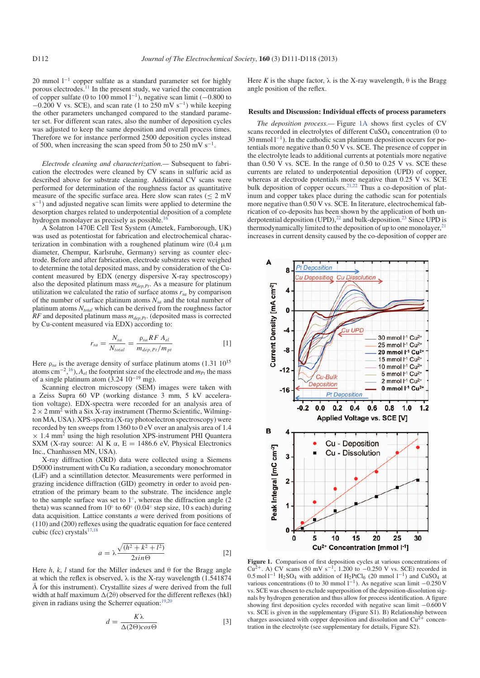20 mmol  $l^{-1}$  copper sulfate as a standard parameter set for highly porous electrodes.11 In the present study, we varied the concentration of copper sulfate (0 to 100 mmol  $l^{-1}$ ), negative scan limit (−0.800 to  $-0.200$  V vs. SCE), and scan rate (1 to 250 mV s<sup>-1</sup>) while keeping the other parameters unchanged compared to the standard parameter set. For different scan rates, also the number of deposition cycles was adjusted to keep the same deposition and overall process times. Therefore we for instance performed 2500 deposition cycles instead of 500, when increasing the scan speed from 50 to 250 mV s<sup>-1</sup>.

*Electrode cleaning and characterization.—* Subsequent to fabrication the electrodes were cleaned by CV scans in sulfuric acid as described above for substrate cleaning. Additional CV scans were performed for determination of the roughness factor as quantitative measure of the specific surface area. Here slow scan rates  $\leq 2$  mV s<sup>-1</sup>) and adjusted negative scan limits were applied to determine the desorption charges related to underpotential deposition of a complete hydrogen monolayer as precisely as possible.<sup>16</sup>

A Solatron 1470E Cell Test System (Ametek, Farnborough, UK) was used as potentiostat for fabrication and electrochemical characterization in combination with a roughened platinum wire (0.4 μm diameter, Chempur, Karlsruhe, Germany) serving as counter electrode. Before and after fabrication, electrode substrates were weighed to determine the total deposited mass, and by consideration of the Cucontent measured by EDX (energy dispersive X-ray spectroscopy) also the deposited platinum mass  $m_{dep.Pt}$ . As a measure for platinum utilization we calculated the ratio of surface atoms  $r_{sa}$  by comparison of the number of surface platinum atoms  $N_{sa}$  and the total number of platinum atoms  $N_{total}$  which can be derived from the roughness factor *RF* and deposited platinum mass  $m_{dep, Pt}$ . (deposited mass is corrected by Cu-content measured via EDX) according to:

$$
r_{sa} = \frac{N_{sa}}{N_{total}} = \frac{\rho_{sa} RFA_{el}}{m_{dep, Pt}/m_{pt}}
$$
 [1]

Here  $\rho_{sa}$  is the average density of surface platinum atoms (1.31 10<sup>15</sup>) atoms cm<sup>-2</sup>,<sup>16</sup>),  $A_{el}$  the footprint size of the electrode and  $m_{Pt}$  the mass of a single platinum atom  $(3.24 \ 10^{-19} \text{ mg})$ .

Scanning electron microscopy (SEM) images were taken with a Zeiss Supra 60 VP (working distance 3 mm, 5 kV acceleration voltage). EDX-spectra were recorded for an analysis area of  $2 \times 2$  mm<sup>2</sup> with a Six X-ray instrument (Thermo Scientific, Wilmington MA, USA). XPS-spectra (X-ray photoelectron spectroscopy) were recorded by ten sweeps from 1360 to 0 eV over an analysis area of 1.4  $\times$  1.4 mm<sup>2</sup> using the high resolution XPS-instrument PHI Quantera SXM (X-ray source: Al K  $\alpha$ , E = 1486.6 eV, Physical Electronics Inc., Chanhassen MN, USA).

X-ray diffraction (XRD) data were collected using a Siemens D5000 instrument with Cu Kα radiation, a secondary monochromator (LiF) and a scintillation detector. Measurements were performed in grazing incidence diffraction (GID) geometry in order to avoid penetration of the primary beam to the substrate. The incidence angle to the sample surface was set to 1◦, whereas the diffraction angle (2 theta) was scanned from 10◦ to 60◦ (0.04◦ step size, 10 s each) during data acquisition. Lattice constants *a* were derived from positions of (110) and (200) reflexes using the quadratic equation for face centered cubic (fcc) crystals $17,18$ 

$$
a = \lambda \frac{\sqrt{(h^2 + k^2 + l^2)}}{2\sin\Theta} \tag{2}
$$

Here *h*, *k*, *l* stand for the Miller indexes and  $\theta$  for the Bragg angle at which the reflex is observed,  $\lambda$  is the X-ray wavelength (1.541874) Å for this instrument). Crystallite sizes *d* were derived from the full width at half maximum  $\Delta(2\theta)$  observed for the different reflexes (hkl) given in radians using the Scherrer equation: $19,20$ 

$$
d = \frac{K\lambda}{\Delta(2\Theta)cos\Theta} \tag{3}
$$

Here *K* is the shape factor,  $\lambda$  is the X-ray wavelength,  $\theta$  is the Bragg angle position of the reflex.

# **Results and Discussion: Individual effects of process parameters**

*The deposition process.—* Figure 1A shows first cycles of CV scans recorded in electrolytes of different CuSO<sub>4</sub> concentration (0 to 30 mmol l−1). In the cathodic scan platinum deposition occurs for potentials more negative than  $0.50 \text{ V}$  vs. SCE. The presence of copper in the electrolyte leads to additional currents at potentials more negative than 0.50 V vs. SCE. In the range of 0.50 to 0.25 V vs. SCE these currents are related to underpotential deposition (UPD) of copper, whereas at electrode potentials more negative than 0.25 V vs. SCE bulk deposition of copper occurs.<sup>21,22</sup> Thus a co-deposition of platinum and copper takes place during the cathodic scan for potentials more negative than 0.50 V vs. SCE. In literature, electrochemical fabrication of co-deposits has been shown by the application of both underpotential deposition (UPD),<sup>22</sup> and bulk-deposition.<sup>23</sup> Since UPD is thermodynamically limited to the deposition of up to one monolayer,  $2<sup>1</sup>$ increases in current density caused by the co-deposition of copper are



**Figure 1.** Comparison of first deposition cycles at various concentrations of  $Cu^{2+}$ . A) CV scans (50 mV s<sup>-1</sup>, 1.200 to −0.250 V vs. SCE) recorded in  $0.5 \text{ mol } 1^{-1}$  H<sub>2</sub>SO<sub>4</sub> with addition of H<sub>2</sub>PtCl<sub>6</sub> (20 mmol  $1^{-1}$ ) and CuSO<sub>4</sub> at various concentrations (0 to 30 mmol  $l^{-1}$ ). As negative scan limit  $-0.250$  V vs. SCE was chosen to exclude superposition of the deposition-dissolution signals by hydrogen generation and thus allow for process identification. A figure showing first deposition cycles recorded with negative scan limit −0.600 V vs. SCE is given in the supplementary (Figure S1). B) Relationship between charges associated with copper deposition and dissolution and  $Cu^{2+}$  concentration in the electrolyte (see supplementary for details, Figure S2).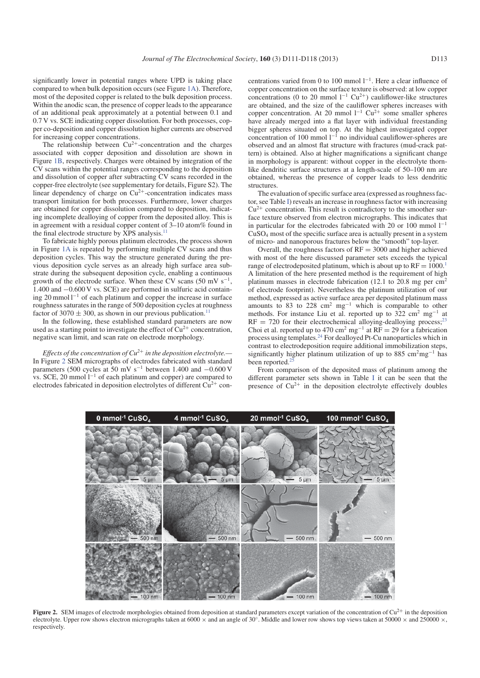significantly lower in potential ranges where UPD is taking place compared to when bulk deposition occurs (see Figure 1A). Therefore, most of the deposited copper is related to the bulk deposition process. Within the anodic scan, the presence of copper leads to the appearance of an additional peak approximately at a potential between 0.1 and 0.7 V vs. SCE indicating copper dissolution. For both processes, copper co-deposition and copper dissolution higher currents are observed for increasing copper concentrations.

The relationship between  $Cu^{2+}$ -concentration and the charges associated with copper deposition and dissolution are shown in Figure 1B, respectively. Charges were obtained by integration of the CV scans within the potential ranges corresponding to the deposition and dissolution of copper after subtracting CV scans recorded in the copper-free electrolyte (see supplementary for details, Figure S2). The linear dependency of charge on  $Cu^{2+}$ -concentration indicates mass transport limitation for both processes. Furthermore, lower charges are obtained for copper dissolution compared to deposition, indicating incomplete dealloying of copper from the deposited alloy. This is in agreement with a residual copper content of 3–10 atom% found in the final electrode structure by XPS analysis.<sup>11</sup>

To fabricate highly porous platinum electrodes, the process shown in Figure 1A is repeated by performing multiple CV scans and thus deposition cycles. This way the structure generated during the previous deposition cycle serves as an already high surface area substrate during the subsequent deposition cycle, enabling a continuous growth of the electrode surface. When these CV scans (50 mV s<sup>-1</sup>, 1.400 and −0.600 V vs. SCE) are performed in sulfuric acid containing 20 mmol l−<sup>1</sup> of each platinum and copper the increase in surface roughness saturates in the range of 500 deposition cycles at roughness factor of 3070  $\pm$  300, as shown in our previous publication.<sup>11</sup>

In the following, these established standard parameters are now used as a starting point to investigate the effect of  $Cu^{2+}$  concentration, negative scan limit, and scan rate on electrode morphology.

*Effects of the concentration of Cu<sup>2</sup>*<sup>+</sup> *in the deposition electrolyte.—* In Figure 2 SEM micrographs of electrodes fabricated with standard parameters (500 cycles at 50 mV s<sup>-1</sup> between 1.400 and  $-0.600$  V vs. SCE, 20 mmol  $l^{-1}$  of each platinum and copper) are compared to electrodes fabricated in deposition electrolytes of different  $Cu^{2+}$  con-

 $5 \mu m$ 

0 mmol<sup>-1</sup> CuSO

centrations varied from 0 to 100 mmol  $l^{-1}$ . Here a clear influence of copper concentration on the surface texture is observed: at low copper concentrations (0 to 20 mmol  $1^{-1}$  Cu<sup>2+</sup>) cauliflower-like structures are obtained, and the size of the cauliflower spheres increases with copper concentration. At 20 mmol  $l^{-1}$  Cu<sup>2+</sup> some smaller spheres have already merged into a flat layer with individual freestanding bigger spheres situated on top. At the highest investigated copper concentration of 100 mmol l−<sup>1</sup> no individual cauliflower-spheres are observed and an almost flat structure with fractures (mud-crack pattern) is obtained. Also at higher magnifications a significant change in morphology is apparent: without copper in the electrolyte thornlike dendritic surface structures at a length-scale of 50–100 nm are obtained, whereas the presence of copper leads to less dendritic structures.

The evaluation of specific surface area (expressed as roughness factor, see Table I) reveals an increase in roughness factor with increasing  $Cu<sup>2+</sup>$  concentration. This result is contradictory to the smoother surface texture observed from electron micrographs. This indicates that in particular for the electrodes fabricated with 20 or 100 mmol  $1^{-1}$ CuSO4 most of the specific surface area is actually present in a system of micro- and nanoporous fractures below the "smooth" top-layer.

Overall, the roughness factors of  $RF = 3000$  and higher achieved with most of the here discussed parameter sets exceeds the typical range of electrodeposited platinum, which is about up to  $RF = 1000$ .<sup>1</sup> A limitation of the here presented method is the requirement of high platinum masses in electrode fabrication (12.1 to 20.8 mg per cm<sup>2</sup> of electrode footprint). Nevertheless the platinum utilization of our method, expressed as active surface area per deposited platinum mass amounts to 83 to 228 cm2 mg−<sup>1</sup> which is comparable to other methods. For instance Liu et al. reported up to  $322 \text{ cm}^2 \text{ mg}^{-1}$  at  $RF = 720$  for their electrochemical alloying-dealloying process;<sup>23</sup> Choi et al. reported up to 470 cm<sup>2</sup> mg<sup>-1</sup> at  $RF = 29$  for a fabrication process using templates.24 For dealloyed Pt-Cu nanoparticles which in contrast to electrodeposition require additional immobilization steps, significantly higher platinum utilization of up to 885 cm<sup>2</sup>mg<sup>-1</sup> has been reported. $<sup>2</sup>$ </sup>

From comparison of the deposited mass of platinum among the different parameter sets shown in Table I it can be seen that the presence of  $Cu^{2+}$  in the deposition electrolyte effectively doubles

100 mmol-1 CuSO

 $5 \text{ u}$ 

20 mmol<sup>-1</sup> CuSO

 $5 \text{ µm}$ 



 $5 \mu m$ 

4 mmol-1 CuSO

electrolyte. Upper row shows electron micrographs taken at 6000  $\times$  and an angle of 30°. Middle and lower row shows top views taken at 50000  $\times$  and 250000  $\times$ , respectively.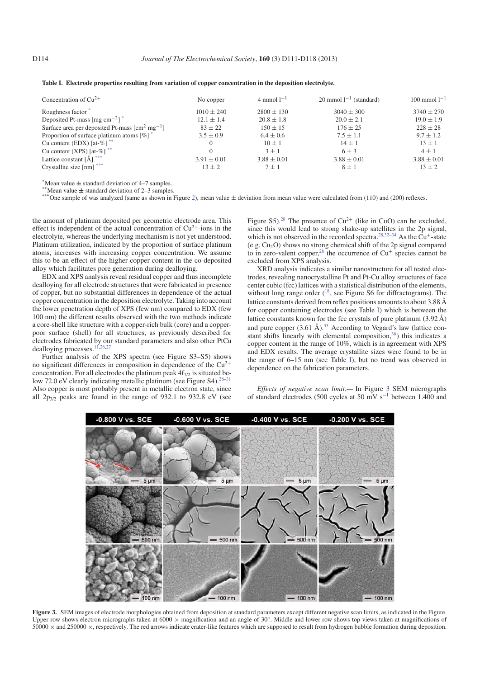| Concentration of $Cu^{2+}$                                                            | No copper       | 4 mmol $1^{-1}$ | $20$ mmol $1^{-1}$ (standard) | $100 \text{ mmol } 1^{-1}$ |
|---------------------------------------------------------------------------------------|-----------------|-----------------|-------------------------------|----------------------------|
| Roughness factor                                                                      | $1010 \pm 240$  | $2800 \pm 130$  | $3040 \pm 300$                | $3740 \pm 270$             |
| Deposited Pt-mass $\lceil \text{mg cm}^{-2} \rceil^*$                                 | $12.1 \pm 1.4$  | $20.8 \pm 1.8$  | $20.0 \pm 2.1$                | $19.0 \pm 1.9$             |
| Surface area per deposited Pt-mass $\lceil$ cm <sup>2</sup> mg <sup>-1</sup> $\rceil$ | $83 \pm 22$     | $150 \pm 15$    | $176 \pm 25$                  | $228 \pm 28$               |
| Proportion of surface platinum atoms $[\%]$                                           | $3.5 \pm 0.9$   | $6.4 \pm 0.6$   | $7.5 + 1.1$                   | $9.7 \pm 1.2$              |
| Cu content (EDX) [at- $\%$ ] **                                                       | $\Omega$        | $10 \pm 1$      | $14 \pm 1$                    | $13 \pm 1$                 |
| Cu content (XPS) [at- $\%$ ] **                                                       | $\Omega$        | $3 + 1$         | $6 + 3$                       | $4 + 1$                    |
| Lattice constant [Å] ***                                                              | $3.91 \pm 0.01$ | $3.88 \pm 0.01$ | $3.88 \pm 0.01$               | $3.88 \pm 0.01$            |
| Crystallite size [nm] <sup>***</sup>                                                  | $13 \pm 2$      | $7 + 1$         | $8 \pm 1$                     | $13 \pm 2$                 |
|                                                                                       |                 |                 |                               |                            |

# **Table I. Electrode properties resulting from variation of copper concentration in the deposition electrolyte.**

\*Mean value  $\pm$  standard deviation of 4–7 samples.<br>\*\*Mean value  $\pm$  standard deviation of 2–3 samples.<br>\*\*Mean value  $\pm$  standard deviation of 2–3 samples.<br>\*\*\*One sample of was analyzed (same as shown in Figure 2), mean

the amount of platinum deposited per geometric electrode area. This effect is independent of the actual concentration of  $Cu^{2+}$ -ions in the electrolyte, whereas the underlying mechanism is not yet understood. Platinum utilization, indicated by the proportion of surface platinum atoms, increases with increasing copper concentration. We assume this to be an effect of the higher copper content in the co-deposited alloy which facilitates pore generation during dealloying.

EDX and XPS analysis reveal residual copper and thus incomplete dealloying for all electrode structures that were fabricated in presence of copper, but no substantial differences in dependence of the actual copper concentration in the deposition electrolyte. Taking into account the lower penetration depth of XPS (few nm) compared to EDX (few 100 nm) the different results observed with the two methods indicate a core-shell like structure with a copper-rich bulk (core) and a copperpoor surface (shell) for all structures, as previously described for electrodes fabricated by our standard parameters and also other PtCu dealloying processes.<sup>11,26,27</sup>

Further analysis of the XPS spectra (see Figure S3–S5) shows no significant differences in composition in dependence of the  $Cu^{2+}$ concentration. For all electrodes the platinum peak  $4f_{7/2}$  is situated below 72.0 eV clearly indicating metallic platinum (see Figure S4).<sup>28–31</sup> Also copper is most probably present in metallic electron state, since all  $2p_{3/2}$  peaks are found in the range of 932.1 to 932.8 eV (see Figure S5).<sup>28</sup> The presence of  $Cu^{2+}$  (like in CuO) can be excluded, since this would lead to strong shake-up satellites in the 2p signal, which is not observed in the recorded spectra.<sup>28,32–34</sup> As the  $Cu<sup>+</sup>$ -state (e.g.  $Cu<sub>2</sub>O$ ) shows no strong chemical shift of the 2p signal compared to in zero-valent copper,<sup>28</sup> the occurrence of  $Cu<sup>+</sup>$  species cannot be excluded from XPS analysis.

XRD analysis indicates a similar nanostructure for all tested electrodes, revealing nanocrystalline Pt and Pt-Cu alloy structures of face center cubic (fcc) lattices with a statistical distribution of the elements, without long range order (<sup>18</sup>, see Figure S6 for diffractograms). The lattice constants derived from reflex positions amounts to about 3.88 Å for copper containing electrodes (see Table I) which is between the lattice constants known for the fcc crystals of pure platinum  $(3.92 \text{ Å})$ and pure copper  $(3.61 \text{ Å})$ .<sup>35</sup> According to Vegard's law (lattice constant shifts linearly with elemental composition, $36$ ) this indicates a copper content in the range of 10%, which is in agreement with XPS and EDX results. The average crystallite sizes were found to be in the range of 6–15 nm (see Table I), but no trend was observed in dependence on the fabrication parameters.

*Effects of negative scan limit.—* In Figure 3 SEM micrographs of standard electrodes (500 cycles at 50 mV s−<sup>1</sup> between 1.400 and



Figure 3. SEM images of electrode morphologies obtained from deposition at standard parameters except different negative scan limits, as indicated in the Figure. Upper row shows electron micrographs taken at 6000  $\times$  magnification and an angle of 30°. Middle and lower row shows top views taken at magnifications of  $50000 \times$  and  $250000 \times$ , respectively. The red arrows indicate crater-like features which are supposed to result from hydrogen bubble formation during deposition.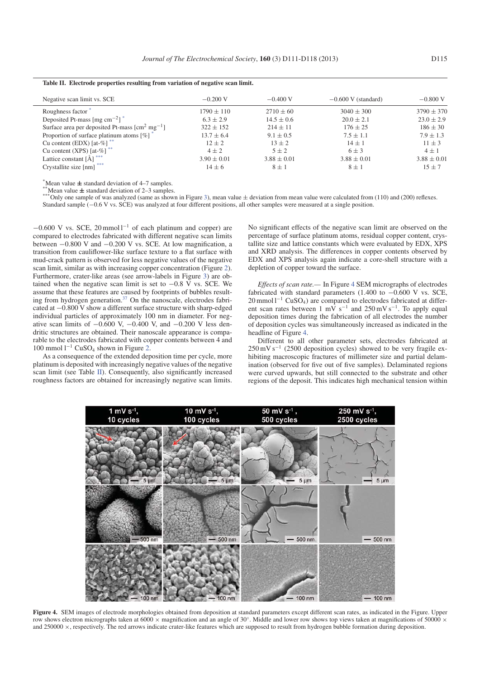| Table II. Electrode properties resulting from variation of negative scan limit.       |                 |                 |                       |                 |  |  |
|---------------------------------------------------------------------------------------|-----------------|-----------------|-----------------------|-----------------|--|--|
| Negative scan limit vs. SCE                                                           | $-0.200 V$      | $-0.400$ V      | $-0.600$ V (standard) | $-0.800$ V      |  |  |
| Roughness factor                                                                      | $1790 \pm 110$  | $2710 \pm 60$   | $3040 \pm 300$        | $3790 \pm 370$  |  |  |
| Deposited Pt-mass $\lceil \text{mg cm}^{-2} \rceil^*$                                 | $6.3 \pm 2.9$   | $14.5 \pm 0.6$  | $20.0 \pm 2.1$        | $23.0 \pm 2.9$  |  |  |
| Surface area per deposited Pt-mass $\lceil$ cm <sup>2</sup> mg <sup>-1</sup> $\rceil$ | $322 \pm 152$   | $214 \pm 11$    | $176 + 25$            | $186 \pm 30$    |  |  |
| Proportion of surface platinum atoms $\lceil \% \rceil^*$                             | $13.7 \pm 6.4$  | $9.1 \pm 0.5$   | $7.5 \pm 1.1$         | $7.9 \pm 1.3$   |  |  |
| Cu content (EDX) [at- $\%$ ] **                                                       | $12 \pm 2$      | $13 \pm 2$      | $14 \pm 1$            | $11 \pm 3$      |  |  |
| Cu content (XPS) [at- $\%$ ] **                                                       | $4 + 2$         | $5 + 2$         | $6 + 3$               | $4 + 1$         |  |  |
| Lattice constant [Å] ***                                                              | $3.90 \pm 0.01$ | $3.88 \pm 0.01$ | $3.88 \pm 0.01$       | $3.88 \pm 0.01$ |  |  |
| Crystallite size [nm] ***                                                             | $14 \pm 6$      | $8 \pm 1$       | $8 \pm 1$             | $15 \pm 7$      |  |  |

\*Mean value  $\pm$  standard deviation of 4–7 samples.<br>\*\*Mean value  $\pm$  standard deviation of 2–3 samples.<br>\*\*\*Only one sample of was analyzed (same as shown in Figure 3), mean value  $\pm$  deviation from mean value were calcu Standard sample (−0.6 V vs. SCE) was analyzed at four different positions, all other samples were measured at a single position.

 $-0.600$  V vs. SCE, 20 mmol l<sup>-1</sup> of each platinum and copper) are compared to electrodes fabricated with different negative scan limits between −0.800 V and −0.200 V vs. SCE. At low magnification, a transition from cauliflower-like surface texture to a flat surface with mud-crack pattern is observed for less negative values of the negative scan limit, similar as with increasing copper concentration (Figure 2). Furthermore, crater-like areas (see arrow-labels in Figure 3) are obtained when the negative scan limit is set to  $-0.8$  V vs. SCE. We assume that these features are caused by footprints of bubbles resulting from hydrogen generation. $37$  On the nanoscale, electrodes fabricated at −0.800 V show a different surface structure with sharp-edged individual particles of approximately 100 nm in diameter. For negative scan limits of  $-0.600$  V,  $-0.400$  V, and  $-0.200$  V less dendritic structures are obtained. Their nanoscale appearance is comparable to the electrodes fabricated with copper contents between 4 and 100 mmol  $l^{-1}$  CuSO<sub>4</sub> shown in Figure 2.

As a consequence of the extended deposition time per cycle, more platinum is deposited with increasingly negative values of the negative scan limit (see Table II). Consequently, also significantly increased roughness factors are obtained for increasingly negative scan limits. No significant effects of the negative scan limit are observed on the percentage of surface platinum atoms, residual copper content, crystallite size and lattice constants which were evaluated by EDX, XPS and XRD analysis. The differences in copper contents observed by EDX and XPS analysis again indicate a core-shell structure with a depletion of copper toward the surface.

*Effects of scan rate.—* In Figure 4 SEM micrographs of electrodes fabricated with standard parameters (1.400 to −0.600 V vs. SCE,  $20$  mmol l<sup>-1</sup> CuSO<sub>4</sub>) are compared to electrodes fabricated at different scan rates between 1 m $\overrightarrow{V}$  s<sup>-1</sup> and 250 mV s<sup>-1</sup>. To apply equal deposition times during the fabrication of all electrodes the number of deposition cycles was simultaneously increased as indicated in the headline of Figure 4.

Different to all other parameter sets, electrodes fabricated at 250 mV s<sup>-1</sup> (2500 deposition cycles) showed to be very fragile exhibiting macroscopic fractures of millimeter size and partial delamination (observed for five out of five samples). Delaminated regions were curved upwards, but still connected to the substrate and other regions of the deposit. This indicates high mechanical tension within



**Figure 4.** SEM images of electrode morphologies obtained from deposition at standard parameters except different scan rates, as indicated in the Figure. Upper row shows electron micrographs taken at 6000 × magnification and an angle of 30°. Middle and lower row shows top views taken at magnifications of 50000 × and  $250000 \times$ , respectively. The red arrows indicate crater-like features which are supposed to result from hydrogen bubble formation during deposition.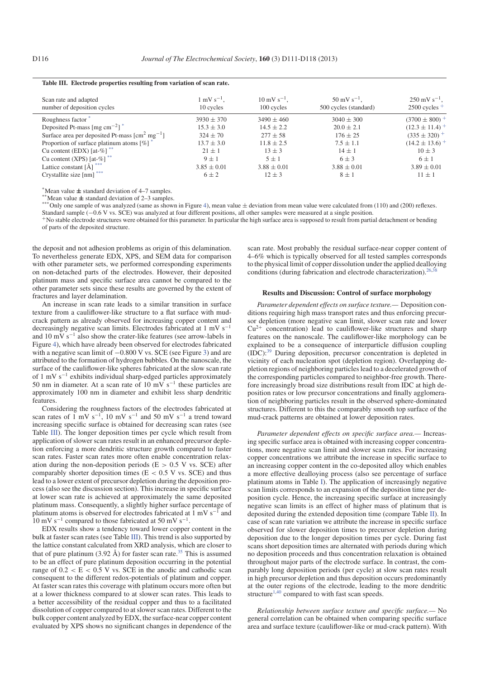| Scan rate and adapted<br>number of deposition cycles                           | $1 \text{ mV s}^{-1}$ .<br>10 cycles | $10 \text{ mV s}^{-1}$ .<br>100 cycles | $50 \text{ mV s}^{-1}$ .<br>500 cycles (standard) | $250 \text{ mV s}^{-1}$ .<br>$2500$ cycles $+$ |
|--------------------------------------------------------------------------------|--------------------------------------|----------------------------------------|---------------------------------------------------|------------------------------------------------|
| Roughness factor                                                               | $3930 \pm 370$                       | $3490 \pm 460$                         | $3040 \pm 300$                                    | $(3700 \pm 800)^{+}$                           |
| Deposited Pt-mass $\lceil \text{mg cm}^{-2} \rceil^*$                          | $15.3 \pm 3.0$                       | $14.5 \pm 2.2$                         | $20.0 \pm 2.1$                                    | $(12.3 \pm 11.4)$ <sup>+</sup>                 |
| Surface area per deposited Pt-mass $\lceil$ cm <sup>2</sup> mg <sup>-1</sup> ] | $324 \pm 70$                         | $277 \pm 58$                           | $176 + 25$                                        | $(335 \pm 320)^+$                              |
| Proportion of surface platinum atoms $\lceil \% \rceil^*$                      | $13.7 \pm 3.0$                       | $11.8 \pm 2.5$                         | $7.5 \pm 1.1$                                     | $(14.2 \pm 13.6)$ <sup>+</sup>                 |
| Cu content (EDX) [at- $\%$ ] **                                                | $21 \pm 1$                           | $13 \pm 3$                             | $14 + 1$                                          | $10 \pm 3$                                     |
| Cu content (XPS) [at- $\%$ ] $\%$                                              | $9 + 1$                              | $5 + 1$                                | $6 + 3$                                           | $6 + 1$                                        |
| Lattice constant [Å] ***                                                       | $3.85 \pm 0.01$                      | $3.88 \pm 0.01$                        | $3.88 \pm 0.01$                                   | $3.89 \pm 0.01$                                |
| Crystallite size [nm] ***                                                      | $6\pm 2$                             | $12 \pm 3$                             | $8 \pm 1$                                         | $11 \pm 1$                                     |

# **Table III. Electrode properties resulting from variation of scan rate.**

\*Mean value  $\pm$  standard deviation of 4–7 samples.<br>\*\*Mean value  $\pm$  standard deviation of 2–3 samples.<br>\*\*Mean value  $\pm$  standard deviation of 2–3 samples.<br>\*\*\*Only one sample of was analyzed (same as shown in Figure 4),

+No stable electrode structures were obtained for this parameter. In particular the high surface area is supposed to result from partial detachment or bending

of parts of the deposited structure.

the deposit and not adhesion problems as origin of this delamination. To nevertheless generate EDX, XPS, and SEM data for comparison with other parameter sets, we performed corresponding experiments on non-detached parts of the electrodes. However, their deposited platinum mass and specific surface area cannot be compared to the other parameter sets since these results are governed by the extent of fractures and layer delamination.

An increase in scan rate leads to a similar transition in surface texture from a cauliflower-like structure to a flat surface with mudcrack pattern as already observed for increasing copper content and decreasingly negative scan limits. Electrodes fabricated at 1 mV s−<sup>1</sup> and 10 mV s−<sup>1</sup> also show the crater-like features (see arrow-labels in Figure 4), which have already been observed for electrodes fabricated with a negative scan limit of  $-0.800$  V vs. SCE (see Figure 3) and are attributed to the formation of hydrogen bubbles. On the nanoscale, the surface of the cauliflower-like spheres fabricated at the slow scan rate of 1 mV s−<sup>1</sup> exhibits individual sharp-edged particles approximately 50 nm in diameter. At a scan rate of 10 mV s<sup>-1</sup> these particles are approximately 100 nm in diameter and exhibit less sharp dendritic features.

Considering the roughness factors of the electrodes fabricated at scan rates of  $1 \text{ mV s}^{-1}$ ,  $10 \text{ mV s}^{-1}$  and  $50 \text{ mV s}^{-1}$  a trend toward increasing specific surface is obtained for decreasing scan rates (see Table III). The longer deposition times per cycle which result from application of slower scan rates result in an enhanced precursor depletion enforcing a more dendritic structure growth compared to faster scan rates. Faster scan rates more often enable concentration relaxation during the non-deposition periods ( $E > 0.5$  V vs. SCE) after comparably shorter deposition times ( $E < 0.5$  V vs. SCE) and thus lead to a lower extent of precursor depletion during the deposition process (also see the discussion section). This increase in specific surface at lower scan rate is achieved at approximately the same deposited platinum mass. Consequently, a slightly higher surface percentage of platinum atoms is observed for electrodes fabricated at  $1 \text{ mV s}^{-1}$  and  $10 \text{ mV s}^{-1}$  compared to those fabricated at 50 mV s<sup>-1</sup>.

EDX results show a tendency toward lower copper content in the bulk at faster scan rates (see Table III). This trend is also supported by the lattice constant calculated from XRD analysis, which are closer to that of pure platinum (3.92 Å) for faster scan rate.<sup>35</sup> This is assumed to be an effect of pure platinum deposition occurring in the potential range of  $0.2 < E < 0.5$  V vs. SCE in the anodic and cathodic scan consequent to the different redox-potentials of platinum and copper. At faster scan rates this coverage with platinum occurs more often but at a lower thickness compared to at slower scan rates. This leads to a better accessibility of the residual copper and thus to a facilitated dissolution of copper compared to at slower scan rates. Different to the bulk copper content analyzed by EDX, the surface-near copper content evaluated by XPS shows no significant changes in dependence of the scan rate. Most probably the residual surface-near copper content of 4–6% which is typically observed for all tested samples corresponds to the physical limit of copper dissolution under the applied dealloying conditions (during fabrication and electrode characterization).<sup>26,3</sup>

#### **Results and Discussion: Control of surface morphology**

*Parameter dependent effects on surface texture.—* Deposition conditions requiring high mass transport rates and thus enforcing precursor depletion (more negative scan limit, slower scan rate and lower  $Cu<sup>2+</sup>$  concentration) lead to cauliflower-like structures and sharp features on the nanoscale. The cauliflower-like morphology can be explained to be a consequence of interparticle diffusion coupling (IDC):39 During deposition, precursor concentration is depleted in vicinity of each nucleation spot (depletion region). Overlapping depletion regions of neighboring particles lead to a decelerated growth of the corresponding particles compared to neighbor-free growth. Therefore increasingly broad size distributions result from IDC at high deposition rates or low precursor concentrations and finally agglomeration of neighboring particles result in the observed sphere-dominated structures. Different to this the comparably smooth top surface of the mud-crack patterns are obtained at lower deposition rates.

*Parameter dependent effects on specific surface area.—* Increasing specific surface area is obtained with increasing copper concentrations, more negative scan limit and slower scan rates. For increasing copper concentrations we attribute the increase in specific surface to an increasing copper content in the co-deposited alloy which enables a more effective dealloying process (also see percentage of surface platinum atoms in Table I). The application of increasingly negative scan limits corresponds to an expansion of the deposition time per deposition cycle. Hence, the increasing specific surface at increasingly negative scan limits is an effect of higher mass of platinum that is deposited during the extended deposition time (compare Table II). In case of scan rate variation we attribute the increase in specific surface observed for slower deposition times to precursor depletion during deposition due to the longer deposition times per cycle. During fast scans short deposition times are alternated with periods during which no deposition proceeds and thus concentration relaxation is obtained throughout major parts of the electrode surface. In contrast, the comparably long deposition periods (per cycle) at slow scan rates result in high precursor depletion and thus deposition occurs predominantly at the outer regions of the electrode, leading to the more dendritic structure<sup>1,40</sup> compared to with fast scan speeds.

*Relationship between surface texture and specific surface.—* No general correlation can be obtained when comparing specific surface area and surface texture (cauliflower-like or mud-crack pattern). With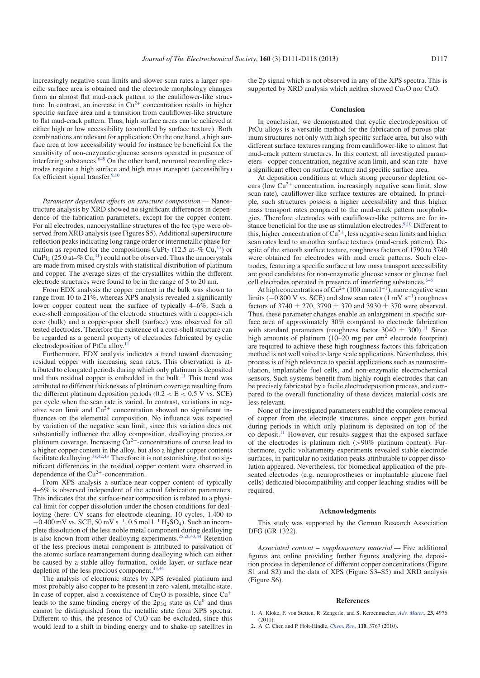increasingly negative scan limits and slower scan rates a larger specific surface area is obtained and the electrode morphology changes from an almost flat mud-crack pattern to the cauliflower-like structure. In contrast, an increase in  $Cu^{2+}$  concentration results in higher specific surface area and a transition from cauliflower-like structure to flat mud-crack pattern. Thus, high surface areas can be achieved at either high or low accessibility (controlled by surface texture). Both combinations are relevant for application: On the one hand, a high surface area at low accessibility would for instance be beneficial for the sensitivity of non-enzymatic glucose sensors operated in presence of interfering substances.<sup>6–8</sup> On the other hand, neuronal recording electrodes require a high surface and high mass transport (accessibility) for efficient signal transfer. $9,10$ 

*Parameter dependent effects on structure composition.—* Nanostructure analysis by XRD showed no significant differences in dependence of the fabrication parameters, except for the copper content. For all electrodes, nanocrystalline structures of the fcc type were observed from XRD analysis (see Figures S5). Additional superstructure reflection peaks indicating long range order or intermetallic phase formation as reported for the compositions CuPt<sub>7</sub> (12.5 at–% Cu,<sup>35</sup>) or CuPt<sub>3</sub> (25.0 at–% Cu,<sup>41</sup>) could not be observed. Thus the nanocrystals are made from mixed crystals with statistical distribution of platinum and copper. The average sizes of the crystallites within the different electrode structures were found to be in the range of 5 to 20 nm.

From EDX analysis the copper content in the bulk was shown to range from 10 to 21%, whereas XPS analysis revealed a significantly lower copper content near the surface of typically 4–6%. Such a core-shell composition of the electrode structures with a copper-rich core (bulk) and a copper-poor shell (surface) was observed for all tested electrodes. Therefore the existence of a core-shell structure can be regarded as a general property of electrodes fabricated by cyclic electrodeposition of PtCu alloy.<sup>11</sup>

Furthermore, EDX analysis indicates a trend toward decreasing residual copper with increasing scan rates. This observation is attributed to elongated periods during which only platinum is deposited und thus residual copper is embedded in the bulk.<sup>11</sup> This trend was attributed to different thicknesses of platinum coverage resulting from the different platinum deposition periods ( $0.2 < E < 0.5$  V vs. SCE) per cycle when the scan rate is varied. In contrast, variations in negative scan limit and  $Cu^{2+}$  concentration showed no significant influences on the elemental composition. No influence was expected by variation of the negative scan limit, since this variation does not substantially influence the alloy composition, dealloying process or platinum coverage. Increasing  $Cu^{2+}$ -concentrations of course lead to a higher copper content in the alloy, but also a higher copper contents facilitate dealloying. $38,42,43$  Therefore it is not astonishing, that no significant differences in the residual copper content were observed in dependence of the  $Cu^{2+}$ -concentration.

From XPS analysis a surface-near copper content of typically 4–6% is observed independent of the actual fabrication parameters. This indicates that the surface-near composition is related to a physical limit for copper dissolution under the chosen conditions for dealloying (here: CV scans for electrode cleaning, 10 cycles, 1.400 to  $-0.400$  mV vs. SCE, 50 mV s<sup>-1</sup>, 0.5 mol l<sup>-1</sup> H<sub>2</sub>SO<sub>4</sub>). Such an incomplete dissolution of the less noble metal component during dealloying is also known from other dealloying experiments.25,26,43,44 Retention of the less precious metal component is attributed to passivation of the atomic surface rearrangement during dealloying which can either be caused by a stable alloy formation, oxide layer, or surface-near depletion of the less precious component.<sup>43,4</sup>

The analysis of electronic states by XPS revealed platinum and most probably also copper to be present in zero-valent, metallic state. In case of copper, also a coexistence of  $Cu<sub>2</sub>O$  is possible, since  $Cu<sup>+</sup>$ leads to the same binding energy of the  $2p_{3/2}$  state as  $Cu^{0}$  and thus cannot be distinguished from the metallic state from XPS spectra. Different to this, the presence of CuO can be excluded, since this would lead to a shift in binding energy and to shake-up satellites in

the 2p signal which is not observed in any of the XPS spectra. This is supported by XRD analysis which neither showed  $Cu<sub>2</sub>O$  nor CuO.

# **Conclusion**

In conclusion, we demonstrated that cyclic electrodeposition of PtCu alloys is a versatile method for the fabrication of porous platinum structures not only with high specific surface area, but also with different surface textures ranging from cauliflower-like to almost flat mud-crack pattern structures. In this context, all investigated parameters - copper concentration, negative scan limit, and scan rate - have a significant effect on surface texture and specific surface area.

At deposition conditions at which strong precursor depletion occurs (low  $Cu^{2+}$  concentration, increasingly negative scan limit, slow scan rate), cauliflower-like surface textures are obtained. In principle, such structures possess a higher accessibility and thus higher mass transport rates compared to the mud-crack pattern morphologies. Therefore electrodes with cauliflower-like patterns are for instance beneficial for the use as stimulation electrodes.<sup>9,10</sup> Different to this, higher concentration of  $Cu^{2+}$ , less negative scan limits and higher scan rates lead to smoother surface textures (mud-crack pattern). Despite of the smooth surface texture, roughness factors of 1790 to 3740 were obtained for electrodes with mud crack patterns. Such electrodes, featuring a specific surface at low mass transport accessibility are good candidates for non-enzymatic glucose sensor or glucose fuel cell electrodes operated in presence of interfering substances. $6-8$ 

At high concentrations of Cu<sup>2+</sup> (100 mmol l<sup>-1</sup>), more negative scan limits ( $-0.800$  V vs. SCE) and slow scan rates (1 mV s<sup>-1</sup>) roughness factors of 3740  $\pm$  270, 3790  $\pm$  370 and 3930  $\pm$  370 were observed. Thus, these parameter changes enable an enlargement in specific surface area of approximately 30% compared to electrode fabrication with standard parameters (roughness factor 3040  $\pm$  300).<sup>11</sup> Since high amounts of platinum (10–20 mg per  $\text{cm}^2$  electrode footprint) are required to achieve these high roughness factors this fabrication method is not well suited to large scale applications. Nevertheless, this process is of high relevance to special applications such as neurostimulation, implantable fuel cells, and non-enzymatic electrochemical sensors. Such systems benefit from highly rough electrodes that can be precisely fabricated by a facile electrodeposition process, and compared to the overall functionality of these devices material costs are less relevant.

None of the investigated parameters enabled the complete removal of copper from the electrode structures, since copper gets buried during periods in which only platinum is deposited on top of the co-deposit.<sup>11</sup> However, our results suggest that the exposed surface of the electrodes is platinum rich (>90% platinum content). Furthermore, cyclic voltammetry experiments revealed stable electrode surfaces, in particular no oxidation peaks attributable to copper dissolution appeared. Nevertheless, for biomedical application of the presented electrodes (e.g. neuroprostheses or implantable glucose fuel cells) dedicated biocompatibility and copper-leaching studies will be required.

#### **Acknowledgments**

This study was supported by the German Research Association DFG (GR 1322).

*Associated content – supplementary material.—* Five additional figures are online providing further figures analyzing the deposition process in dependence of different copper concentrations (Figure S1 and S2) and the data of XPS (Figure S3-S5) and XRD analysis (Figure S6).

#### **References**

- 1. A. Kloke, F. von Stetten, R. Zengerle, and S. Kerzenmacher, *Adv. Mater.*, **23**, 4976
- (2011). 2. A. C. Chen and P. Holt-Hindle, *Chem. Rev.*, **110**, 3767 (2010).